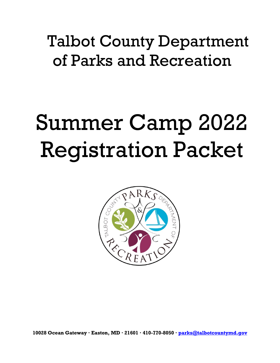# Talbot County Department of Parks and Recreation

# Summer Camp 2022 Registration Packet



**10028 Ocean Gateway ∙ Easton, MD ∙ 21601 ∙ 410-770-8050 ∙ [parks@talbotcountymd.gov](mailto:parks@talbotcountymd.gov)**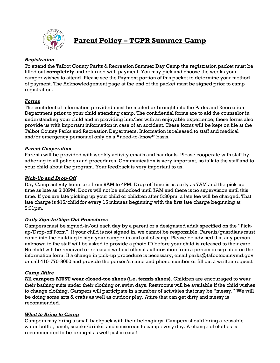

# **Parent Policy – TCPR Summer Camp**

#### *Registration*

To attend the Talbot County Parks & Recreation Summer Day Camp the registration packet must be filled out **completely** and returned with payment. You may pick and choose the weeks your camper wishes to attend. Please see the Payment portion of this packet to determine your method of payment. The Acknowledgement page at the end of the packet must be signed prior to camp registration.

#### *Forms*

The confidential information provided must be mailed or brought into the Parks and Recreation Department **prior** to your child attending camp. The confidential forms are to aid the counselor in understanding your child and in providing him/her with an enjoyable experience; these forms also provide us with important information in case of an accident. These forms will be kept on file at the Talbot County Parks and Recreation Department. Information is released to staff and medical and/or emergency personnel only on a **"**need-to-know**"** basis.

#### *Parent Cooperation*

Parents will be provided with weekly activity emails and handouts. Please cooperate with staff by adhering to all policies and procedures. Communication is very important, so talk to the staff and to your child about the program. Your feedback is very important to us.

#### *Pick-Up and Drop-Off*

Day Camp activity hours are from 9AM to 4PM. Drop off time is as early as 7AM and the pick-up time as late as 5:30PM. Doors will not be unlocked until 7AM and there is no supervision until this time. If you are late picking up your child or children after 5:30pm, a late fee will be charged. That late charge is \$15/child for every 15 minutes beginning with the first late charge beginning at 5:31pm.

#### *Daily Sign-In/Sign-Out Procedures*

Campers must be signed-in/out each day by a parent or a designated adult specified on the "Pickup/Drop-off Form". If your child is not signed in, we cannot be responsible. Parents/guardians must come into the building to sign your camper in and out of camp. Please be advised that any person unknown to the staff will be asked to provide a photo ID before your child is released to their care. No child will be received or released without official authorization from a person designated on the information form. If a change in pick-up procedure is necessary, email parks@talbotcountymd.gov or call 410-770-8050 and provide the person's name and phone number or fill out a written request.

#### *Camp Attire*

**All campers MUST wear closed-toe shoes (i.e. tennis shoes)**. Children are encouraged to wear their bathing suits under their clothing on swim days. Restrooms will be available if the child wishes to change clothing. Campers will participate in a number of activities that may be "messy." We will be doing some arts & crafts as well as outdoor play. Attire that can get dirty and messy is recommended.

#### *What to Bring to Camp*

Campers may bring a small backpack with their belongings. Campers should bring a reusable water bottle, lunch, snacks/drinks, and sunscreen to camp every day. A change of clothes is recommended to be brought as well just in case!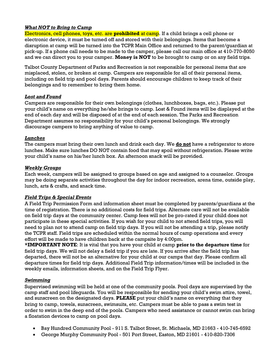#### *What NOT to Bring to Camp*

Electronics, cell phones, toys, etc. are **prohibited** at camp. If a child brings a cell phone or electronic device, it must be turned off and stored with their belongings. Items that become a disruption at camp will be turned into the TCPR Main Office and returned to the parent/guardian at pick-up. If a phone call needs to be made to the camper, please call our main office at 410-770-8050 and we can direct you to your camper. **Money is NOT** to be brought to camp or on any field trips.

Talbot County Department of Parks and Recreation is not responsible for personal items that are misplaced, stolen, or broken at camp. Campers are responsible for all of their personal items, including on field trip and pool days. Parents should encourage children to keep track of their belongings and to remember to bring them home.

#### *Lost and Found*

Campers are responsible for their own belongings (clothes, lunchboxes, bags, etc.). Please put your child's name on everything he/she brings to camp. Lost & Found items will be displayed at the end of each day and will be disposed of at the end of each session. The Parks and Recreation Department assumes no responsibility for your child's personal belongings. We strongly discourage campers to bring anything of value to camp.

#### *Lunches*

The campers must bring their own lunch and drink each day. We **do not** have a refrigerator to store lunches. Make sure lunches DO NOT contain food that may spoil without refrigeration. Please write your child's name on his/her lunch box. An afternoon snack will be provided.

#### *Weekly Groups*

Each week, campers will be assigned to groups based on age and assigned to a counselor. Groups may be doing separate activities throughout the day for indoor recreation, arena time, outside play, lunch, arts & crafts, and snack time.

#### *Field Trips & Special Events*

A Field Trip Permission Form and information sheet must be completed by parents/guardians at the time of registration. There is no additional costs for field trips. Alternate care will not be available on field trip days at the community center. Camp fees will not be pro-rated if your child does not participate in these special activities. If you wish for your child to not attend field trips, you will need to plan not to attend camp on field trip days. If you will not be attending a trip, please notify the TCPR staff. Field trips are scheduled within the normal hours of camp operations and every effort will be made to have children back at the campsite by 4:00pm.

**\*IMPORTANT NOTE**: It is vital that you have your child at camp **prior to the departure time** for field trip days. We will not delay a field trip if you are late. If you arrive after the field trip has departed, there will not be an alternative for your child at our camps that day. Please confirm all departure times for field trip days. Additional Field Trip information/times will be included in the weekly emails, information sheets, and on the Field Trip Flyer.

#### *Swimming*

Supervised swimming will be held at one of the community pools. Pool days are supervised by the camp staff and pool lifeguards. You will be responsible for sending your child's swim attire, towel, and sunscreen on the designated days. **PLEASE** put your child's name on everything that they bring to camp, towels, sunscreen, swimsuits, etc. Campers must be able to pass a swim test in order to swim in the deep end of the pools. Campers who need assistance or cannot swim can bring a floatation devices to camp on pool days.

- Bay Hundred Community Pool 911 S. Talbot Street, St. Michaels, MD 21663 410-745-6592
- George Murphy Community Pool 501 Port Street, Easton, MD 21601 410-820-7306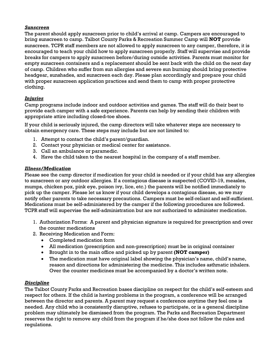#### *Sunscreen*

The parent should apply sunscreen prior to child's arrival at camp. Campers are encouraged to bring sunscreen to camp. Talbot County Parks & Recreation Summer Camp will **NOT** provide sunscreen. TCPR staff members are not allowed to apply sunscreen to any camper, therefore, it is encouraged to teach your child how to apply sunscreen properly. Staff will supervise and provide breaks for campers to apply sunscreen before/during outside activities. Parents must monitor for empty sunscreen containers and a replacement should be sent back with the child on the next day of camp. Children who suffer from sun allergies and severe sun burning should bring protective headgear, sunshades, and sunscreen each day. Please plan accordingly and prepare your child with proper sunscreen application practices and send them to camp with proper protective clothing.

#### *Injuries*

Camp programs include indoor and outdoor activities and games. The staff will do their best to provide each camper with a safe experience. Parents can help by sending their children with appropriate attire including closed-toe shoes.

If your child is seriously injured, the camp directors will take whatever steps are necessary to obtain emergency care. These steps may include but are not limited to:

- 1. Attempt to contact the child's parent/guardian.
- 2. Contact your physician or medical center for assistance.
- 3. Call an ambulance or paramedic.
- 4. Have the child taken to the nearest hospital in the company of a staff member.

#### *Illness/Medication*

Please see the camp director if medication for your child is needed or if your child has any allergies to sunscreen or any outdoor allergies. If a contagious disease is suspected (COVID-19, measles, mumps, chicken pox, pink eye, poison ivy, lice, etc.) the parents will be notified immediately to pick up the camper. Please let us know if your child develops a contagious disease, so we may notify other parents to take necessary precautions. Campers must be self-reliant and self-sufficient. Medications must be self-administered by the camper if the following procedures are followed. TCPR staff will supervise the self-administration but are not authorized to administer medication.

- 1. Authorization Forms: A parent and physician signature is required for prescription and over the counter medications
- 2. Receiving Medication and Form:
	- Completed medication form
	- All medication (prescription and non-prescription) must be in original container
	- Brought in to the main office and picked up by parent **(NOT camper)**
	- The medication must have original label showing the physician's name, child's name, reason and directions for administering the medicine. This includes asthmatic inhalers. Over the counter medicines must be accompanied by a doctor's written note.

#### *Discipline*

The Talbot County Parks and Recreation bases discipline on respect for the child's self-esteem and respect for others. If the child is having problems in the program, a conference will be arranged between the director and parents. A parent may request a conference anytime they feel one is needed. Any child who is consistently disruptive, refuses to participate, or is a general discipline problem may ultimately be dismissed from the program. The Parks and Recreation Department reserves the right to remove any child from the program if he/she does not follow the rules and regulations.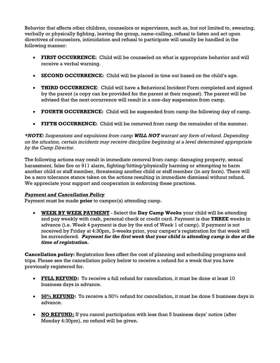Behavior that affects other children, counselors or supervisors, such as, but not limited to, swearing, verbally or physically fighting, leaving the group, name-calling, refusal to listen and act upon directives of counselors, intimidation and refusal to participate will usually be handled in the following manner:

- **FIRST OCCURRENCE:** Child will be counseled on what is appropriate behavior and will receive a verbal warning.
- **SECOND OCCURRENCE:** Child will be placed in time out based on the child's age.
- **THIRD OCCURRENCE**: Child will have a Behavioral Incident Form completed and signed by the parent (a copy can be provided for the parent at their request). The parent will be advised that the next occurrence will result in a one-day suspension from camp.
- **FOURTH OCCURRENCE:** Child will be suspended from camp the following day of camp.
- **FIFTH OCCURRENCE:** Child will be removed from camp the remainder of the summer.

*\*NOTE: Suspensions and expulsions from camp WILL NOT warrant any form of refund. Depending on the situation, certain incidents may receive discipline beginning at a level determined appropriate by the Camp Director.*

The following actions may result in immediate removal from camp: damaging property, sexual harassment, false fire or 911 alarm, fighting/hitting/physically harming or attempting to harm another child or staff member, threatening another child or staff member (in any form). There will be a zero tolerance stance taken on the actions resulting in immediate dismissal without refund. We appreciate your support and cooperation in enforcing these practices.

#### *Payment and Cancellation Policy*

Payment must be made **prior** to camper(s) attending camp.

 **WEEK BY WEEK PAYMENT** - Select the **Day Camp Weeks** your child will be attending and pay weekly with cash, personal check or credit card. Payment is due **THREE** weeks in advance (i.e. Week 4 payment is due by the end of Week 1 of camp). If payment is not received by Friday at 4:30pm, 3-weeks prior, your camper's registration for that week will be surrendered. *Payment for the first week that your child is attending camp is due at the time of registration.*

**Cancellation policy:** Registration fees offset the cost of planning and scheduling programs and trips. Please see the cancellation policy below to receive a refund for a week that you have previously registered for.

- **FULL REFUND:** To receive a full refund for cancellation, it must be done at least 10 business days in advance.
- **50% REFUND:** To receive a 50% refund for cancellation, it must be done 5 business days in advance.
- **NO REFUND:** If you cancel participation with less than 5 business days' notice (after Monday 4:30pm), no refund will be given.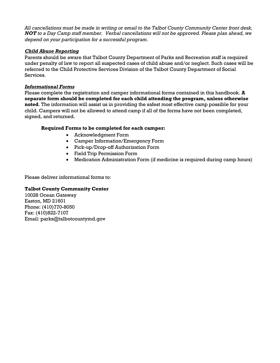*All cancellations must be made in writing or email to the Talbot County Community Center front desk, NOT to a Day Camp staff member. Verbal cancellations will not be approved. Please plan ahead, we depend on your participation for a successful program.*

#### *Child Abuse Reporting*

Parents should be aware that Talbot County Department of Parks and Recreation staff is required under penalty of law to report all suspected cases of child abuse and/or neglect. Such cases will be referred to the Child Protective Services Division of the Talbot County Department of Social Services.

#### *Informational Forms*

Please complete the registration and camper informational forms contained in this handbook. **A separate form should be completed for each child attending the program, unless otherwise noted**. The information will assist us in providing the safest most effective camp possible for your child. Campers will not be allowed to attend camp if all of the forms have not been completed, signed, and returned.

#### **Required Forms to be completed for each camper:**

- Acknowledgment Form
- Camper Information/Emergency Form
- Pick-up/Drop-off Authorization Form
- Field Trip Permission Form
- Medication Administration Form (if medicine is required during camp hours)

Please deliver informational forms to:

#### **Talbot County Community Center**

10028 Ocean Gateway Easton, MD 21601 Phone: (410)770-8050 Fax: (410)822-7107 Email: parks@talbotcountymd.gov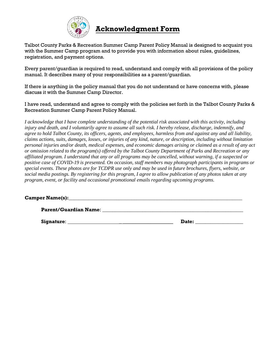

## **Acknowledgment Form**

Talbot County Parks & Recreation Summer Camp Parent Policy Manual is designed to acquaint you with the Summer Camp program and to provide you with information about rules, guidelines, registration, and payment options.

Every parent/guardian is required to read, understand and comply with all provisions of the policy manual. It describes many of your responsibilities as a parent/guardian.

If there is anything in the policy manual that you do not understand or have concerns with, please discuss it with the Summer Camp Director.

I have read, understand and agree to comply with the policies set forth in the Talbot County Parks & Recreation Summer Camp Parent Policy Manual.

*I acknowledge that I have complete understanding of the potential risk associated with this activity, including injury and death, and I voluntarily agree to assume all such risk. I hereby release, discharge, indemnify, and agree to hold Talbot County, its officers, agents, and employees, harmless from and against any and all liability, claims actions, suits, damages, losses, or injuries of any kind, nature, or description, including without limitation personal injuries and/or death, medical expenses, and economic damages arising or claimed as a result of any act or omission related to the program(s) offered by the Talbot County Department of Parks and Recreation or any affiliated program. I understand that any or all programs may be cancelled, without warning, if a suspected or positive case of COVID-19 is presented. On occasion, staff members may photograph participants in programs or special events. These photos are for TCDPR use only and may be used in future brochures, flyers, website, or social media postings. By registering for this program, I agree to allow publication of any photos taken at any program, event, or facility and occasional promotional emails regarding upcoming programs.* 

| <b>Camper Name(s):_</b> |  |  |  |
|-------------------------|--|--|--|
|                         |  |  |  |

**Parent/Guardian Name**: \_\_\_\_\_\_\_\_\_\_\_\_\_\_\_\_\_\_\_\_\_\_\_\_\_\_\_\_\_\_\_\_\_\_\_\_\_\_\_\_\_\_\_\_\_\_\_\_\_\_\_\_\_\_\_\_

**Signature**: \_ **\_**\_\_\_\_\_\_\_\_\_\_\_\_\_\_\_\_\_\_\_ **Date:** \_\_\_\_\_\_\_\_\_\_\_\_\_\_\_\_\_\_\_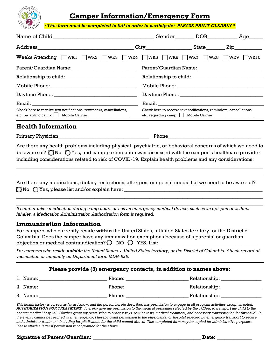

### **Camper Information/Emergency Form**

*\*This form must be completed in full in order to participate\* PLEASE PRINT CLEARLY \**

|                                                                     |                                                                     | Gender________ DOB_____________ Age______ |
|---------------------------------------------------------------------|---------------------------------------------------------------------|-------------------------------------------|
|                                                                     |                                                                     |                                           |
| Weeks Attending WKI WK2 WK3 WK4 WK5 WK6 WK7 WK8 WK8 WK9 WK10        |                                                                     |                                           |
|                                                                     |                                                                     |                                           |
|                                                                     |                                                                     |                                           |
|                                                                     |                                                                     |                                           |
|                                                                     |                                                                     |                                           |
|                                                                     |                                                                     |                                           |
| Check here to receive text notifications, reminders, cancellations, | Check here to receive text notifications, reminders, cancellations, |                                           |

#### **Health Information**

Primary Physician\_\_\_\_\_\_\_\_\_\_\_\_\_\_\_\_\_\_\_\_\_\_\_\_\_\_\_\_\_\_\_\_\_\_\_\_ Phone\_\_\_\_\_\_\_\_\_\_\_\_\_\_\_\_\_\_\_\_\_\_\_\_\_\_\_\_\_\_\_\_\_\_\_\_\_

 $\overline{\phantom{a}}$  ,  $\overline{\phantom{a}}$  ,  $\overline{\phantom{a}}$  ,  $\overline{\phantom{a}}$  ,  $\overline{\phantom{a}}$  ,  $\overline{\phantom{a}}$  ,  $\overline{\phantom{a}}$  ,  $\overline{\phantom{a}}$  ,  $\overline{\phantom{a}}$  ,  $\overline{\phantom{a}}$  ,  $\overline{\phantom{a}}$  ,  $\overline{\phantom{a}}$  ,  $\overline{\phantom{a}}$  ,  $\overline{\phantom{a}}$  ,  $\overline{\phantom{a}}$  ,  $\overline{\phantom{a}}$ 

Are there any health problems including physical, psychiatric, or behavioral concerns of which we need to be aware of?  $\bigcirc$  No  $\bigcirc$  Yes, and camp participation was discussed with the camper's healthcare provider including considerations related to risk of COVID-19. Explain health problems and any considerations:

 $\_$  , and the set of the set of the set of the set of the set of the set of the set of the set of the set of the set of the set of the set of the set of the set of the set of the set of the set of the set of the set of th  $\_$  , and the set of the set of the set of the set of the set of the set of the set of the set of the set of the set of the set of the set of the set of the set of the set of the set of the set of the set of the set of th

Are there any medications, dietary restrictions, allergies, or special needs that we need to be aware of? No Yes, please list and/or explain here: \_\_\_\_\_\_\_\_\_\_\_\_\_\_\_\_\_\_\_\_\_\_\_\_\_\_\_\_\_\_\_\_\_\_\_\_\_\_\_\_\_\_\_\_\_\_\_\_\_\_\_\_\_\_\_

 $\_$  , and the set of the set of the set of the set of the set of the set of the set of the set of the set of the set of the set of the set of the set of the set of the set of the set of the set of the set of the set of th

\_\_\_\_\_\_\_\_\_\_\_\_\_\_\_\_\_\_\_\_\_\_\_\_\_\_\_\_\_\_\_\_\_\_\_\_\_\_\_\_\_\_\_\_\_\_\_\_\_\_\_\_\_\_\_\_\_\_\_\_\_\_\_\_\_\_\_\_\_\_\_\_\_\_\_\_\_\_\_\_\_\_\_\_\_\_\_\_\_

*If camper takes medication during camp hours or has an emergency medical device, such as an epi-pen or asthma inhaler, a Medication Administration Authorization form is required.*

#### **Immunization Information**

For campers who currently reside **within** the United States, a United States territory, or the District of Columbia: Does the camper have any immunization exemptions because of a parental or guardian objection or medical contraindication?  $\bigcirc$  NO  $\bigcirc$  YES, List:

*For campers who reside outside the United States, a United States territory, or the District of Columbia: Attach record of vaccination or immunity on Department form MDH-896.*

#### **Please provide (3) emergency contacts, in addition to names above:**

| 1. Name: | Phone: | Relationship: |
|----------|--------|---------------|
| 2. Name: | Phone: | Relationship: |
| 3. Name: | Phone: | Relationship: |

*This health history is correct as far as I know, and the person herein described has permission to engage in all program activities except as noted. AUTHORIZATION FOR TREATMENT: I hereby give my permission to the medical personnel selected by the TCDPR, to transport my child to the nearest medical hospital. I further grant my permission to order x-rays, routine tests, medical treatment, and necessary transportation for this child. In the event I cannot be reached in an emergency, I hereby grant permission to the Physician(s) or hospital selected by emergency transport to secure and administer treatment, including hospitalization, for the child named above. This completed form may be copied for administrative purposes. Please attach a letter if permission is not granted for the above.*

**Signature of Parent/Guardian: \_\_\_\_\_\_\_\_\_\_\_\_\_\_\_\_\_\_\_\_\_\_\_\_\_\_\_\_\_\_\_\_\_\_\_\_\_\_\_\_\_\_\_ Date: \_\_\_\_\_\_\_\_\_\_\_\_\_\_**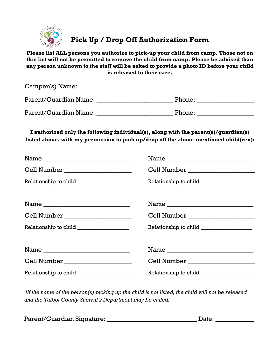

# **Pick Up / Drop Off Authorization Form**

**Please list ALL persons you authorize to pick-up your child from camp. Those not on this list will not be permitted to remove the child from camp. Please be advised than any person unknown to the staff will be asked to provide a photo ID before your child is released to their care.**

| Camper(s) Name:       |        |  |
|-----------------------|--------|--|
| Parent/Guardian Name: | Phone: |  |
| Parent/Guardian Name: | Phone: |  |

**I authorized only the following individual(s), along with the parent(s)/guardian(s) listed above, with my permission to pick up/drop off the above-mentioned child(ren):**

*\*If the name of the person(s) picking up the child is not listed, the child will not be released and the Talbot County Sherriff's Department may be called.*

| Parent/Guardian Signature: | Date: |
|----------------------------|-------|
|                            |       |